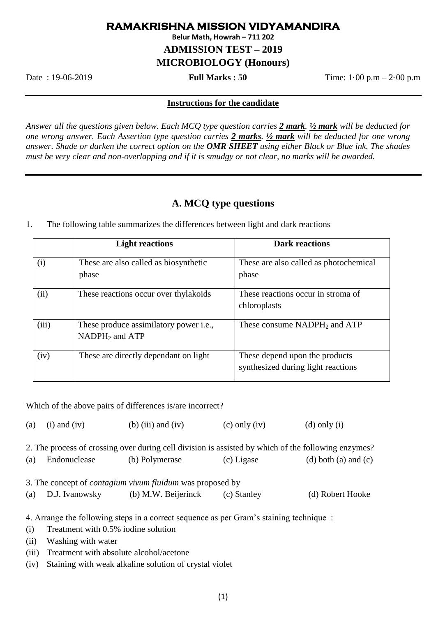## **RAMAKRISHNA MISSION VIDYAMANDIRA**

**Belur Math, Howrah – 711 202**

**ADMISSION TEST – 2019**

**MICROBIOLOGY (Honours)**

Date : 19-06-2019 **Full Marks : 50** Time: 1·00 p.m – 2·00 p.m

## **Instructions for the candidate**

*Answer all the questions given below. Each MCQ type question carries 2 mark. ½ mark will be deducted for one wrong answer. Each Assertion type question carries 2 marks. ½ mark will be deducted for one wrong answer. Shade or darken the correct option on the OMR SHEET using either Black or Blue ink. The shades must be very clear and non-overlapping and if it is smudgy or not clear, no marks will be awarded.*

## **A. MCQ type questions**

|       | <b>Light reactions</b>                                             | <b>Dark reactions</b>                                                |
|-------|--------------------------------------------------------------------|----------------------------------------------------------------------|
| (i)   | These are also called as biosynthetic<br>phase                     | These are also called as photochemical<br>phase                      |
| (ii)  | These reactions occur over thy lakoids                             | These reactions occur in stroma of<br>chloroplasts                   |
| (iii) | These produce assimilatory power <i>i.e.</i> ,<br>$NADPH2$ and ATP | These consume $NADPH_2$ and $ATP$                                    |
| (iv)  | These are directly dependant on light                              | These depend upon the products<br>synthesized during light reactions |

1. The following table summarizes the differences between light and dark reactions

Which of the above pairs of differences is/are incorrect?

(a) (i) and (iv) (b) (iii) and (iv) (c) only (iv) (d) only (i)

2. The process of crossing over during cell division is assisted by which of the following enzymes? (a) Endonuclease (b) Polymerase (c) Ligase (d) both (a) and (c) 3. The concept of *contagium vivum fluidum* was proposed by (a) D.J. Ivanowsky (b) M.W. Beijerinck (c) Stanley (d) Robert Hooke

4. Arrange the following steps in a correct sequence as per Gram's staining technique :

- (i) Treatment with 0.5% iodine solution
- (ii) Washing with water
- (iii) Treatment with absolute alcohol/acetone
- (iv) Staining with weak alkaline solution of crystal violet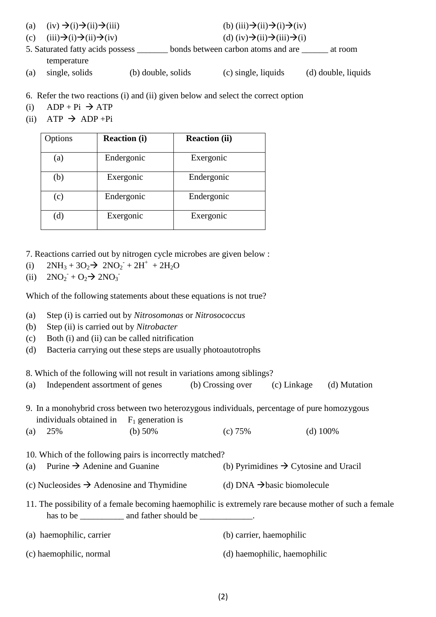- (a) (iv)  $\rightarrow$  (i) $\rightarrow$  (iii) $\rightarrow$  (iii)(iii)(iii)(iii) $\rightarrow$  (i)(iii)(iv)
- (c)  $(iii)\rightarrow(i)\rightarrow(ii)\rightarrow(iv)$  (d)  $(iv)\rightarrow(ii)\rightarrow(ii)$
- 5. Saturated fatty acids possess \_\_\_\_\_\_\_ bonds between carbon atoms and are \_\_\_\_\_\_ at room temperature
- (a) single, solids (b) double, solids (c) single, liquids (d) double, liquids
- 6. Refer the two reactions (i) and (ii) given below and select the correct option
- (i)  $ADP + Pi \rightarrow ATP$
- (ii) ATP  $\rightarrow$  ADP +Pi

| Options | <b>Reaction (i)</b> | <b>Reaction (ii)</b> |
|---------|---------------------|----------------------|
| (a)     | Endergonic          | Exergonic            |
| (b)     | Exergonic           | Endergonic           |
| (c)     | Endergonic          | Endergonic           |
| (d)     | Exergonic           | Exergonic            |

7. Reactions carried out by nitrogen cycle microbes are given below :

- (i)  $2NH_3 + 3O_2 \rightarrow 2NO_2 + 2H^+ + 2H_2O$
- (ii)  $2NO_2 + O_2 \rightarrow 2NO_3$

Which of the following statements about these equations is not true?

- (a) Step (i) is carried out by *Nitrosomonas* or *Nitrosococcus*
- (b) Step (ii) is carried out by *Nitrobacter*
- (c) Both (i) and (ii) can be called nitrification
- (d) Bacteria carrying out these steps are usually photoautotrophs

8. Which of the following will not result in variations among siblings?

| (a)                                                                                                                                                                      | Independent assortment of genes                                                                      |            | (b) Crossing over (c) Linkage (d) Mutation |                                                   |             |  |
|--------------------------------------------------------------------------------------------------------------------------------------------------------------------------|------------------------------------------------------------------------------------------------------|------------|--------------------------------------------|---------------------------------------------------|-------------|--|
| 9. In a monohybrid cross between two heterozygous individuals, percentage of pure homozygous<br>individuals obtained in $F_1$ generation is                              |                                                                                                      |            |                                            |                                                   |             |  |
| (a)                                                                                                                                                                      | 25%                                                                                                  | (b) $50\%$ | (c) 75%                                    |                                                   | (d) $100\%$ |  |
| (a)                                                                                                                                                                      | 10. Which of the following pairs is incorrectly matched?<br>Purine $\rightarrow$ Adenine and Guanine |            |                                            | (b) Pyrimidines $\rightarrow$ Cytosine and Uracil |             |  |
| (c) Nucleosides $\rightarrow$ Adenosine and Thymidine                                                                                                                    |                                                                                                      |            | (d) DNA $\rightarrow$ basic biomolecule    |                                                   |             |  |
| 11. The possibility of a female becoming haemophilic is extremely rare because mother of such a female<br>has to be _______________ and father should be ______________. |                                                                                                      |            |                                            |                                                   |             |  |
|                                                                                                                                                                          | (a) haemophilic, carrier                                                                             |            |                                            | (b) carrier, haemophilic                          |             |  |
|                                                                                                                                                                          | (c) haemophilic, normal                                                                              |            |                                            | (d) haemophilic, haemophilic                      |             |  |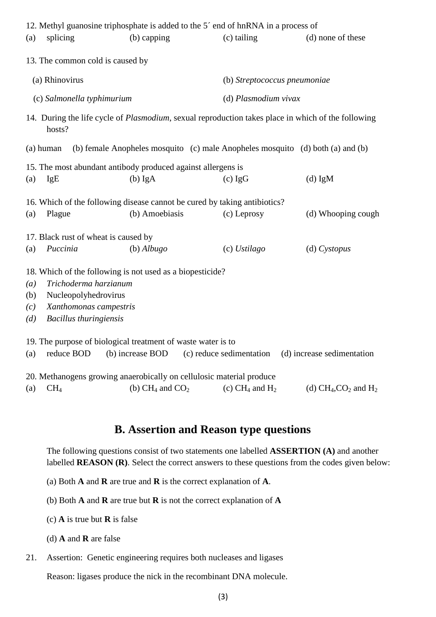|                            |                                      | 12. Methyl guanosine triphosphate is added to the 5' end of hnRNA in a process of |                                        |                                                                                                            |  |  |
|----------------------------|--------------------------------------|-----------------------------------------------------------------------------------|----------------------------------------|------------------------------------------------------------------------------------------------------------|--|--|
| (a)                        | splicing                             | (b) capping                                                                       | (c) tailing                            | (d) none of these                                                                                          |  |  |
|                            | 13. The common cold is caused by     |                                                                                   |                                        |                                                                                                            |  |  |
| (a) Rhinovirus             |                                      |                                                                                   |                                        | (b) Streptococcus pneumoniae                                                                               |  |  |
| (c) Salmonella typhimurium |                                      |                                                                                   |                                        | (d) Plasmodium vivax                                                                                       |  |  |
|                            | hosts?                               |                                                                                   |                                        | 14. During the life cycle of <i>Plasmodium</i> , sexual reproduction takes place in which of the following |  |  |
|                            | (a) human                            |                                                                                   |                                        | (b) female Anopheles mosquito (c) male Anopheles mosquito (d) both (a) and (b)                             |  |  |
|                            |                                      | 15. The most abundant antibody produced against allergens is                      |                                        |                                                                                                            |  |  |
| (a)                        | <b>IgE</b>                           | $(b)$ IgA                                                                         | $(c)$ IgG                              | $(d)$ IgM                                                                                                  |  |  |
|                            |                                      | 16. Which of the following disease cannot be cured by taking antibiotics?         |                                        |                                                                                                            |  |  |
| (a)                        | Plague                               | (b) Amoebiasis                                                                    | (c) Leprosy                            | (d) Whooping cough                                                                                         |  |  |
|                            | 17. Black rust of wheat is caused by |                                                                                   |                                        |                                                                                                            |  |  |
| (a)                        | Puccinia                             | $(b)$ Albugo                                                                      | $(c)$ Ustilago                         | $(d)$ Cystopus                                                                                             |  |  |
|                            |                                      | 18. Which of the following is not used as a biopesticide?                         |                                        |                                                                                                            |  |  |
| (a)                        | Trichoderma harzianum                |                                                                                   |                                        |                                                                                                            |  |  |
| (b)                        | Nucleopolyhedrovirus                 |                                                                                   |                                        |                                                                                                            |  |  |
| (c)                        | Xanthomonas campestris               |                                                                                   |                                        |                                                                                                            |  |  |
| (d)                        | <b>Bacillus</b> thuringiensis        |                                                                                   |                                        |                                                                                                            |  |  |
|                            |                                      | 19. The purpose of biological treatment of waste water is to                      |                                        |                                                                                                            |  |  |
| (a)                        | reduce BOD                           | (b) increase BOD                                                                  | (c) reduce sedimentation               | (d) increase sedimentation                                                                                 |  |  |
|                            |                                      | 20. Methanogens growing anaerobically on cellulosic material produce              |                                        |                                                                                                            |  |  |
| (a)                        | CH <sub>4</sub>                      | (b) $CH_4$ and $CO_2$                                                             | (c) CH <sub>4</sub> and H <sub>2</sub> | (d) $CH_4$ , $CO_2$ and $H_2$                                                                              |  |  |

## **B. Assertion and Reason type questions**

The following questions consist of two statements one labelled **ASSERTION (A)** and another labelled **REASON (R)**. Select the correct answers to these questions from the codes given below:

- (a) Both **A** and **R** are true and **R** is the correct explanation of **A**.
- (b) Both **A** and **R** are true but **R** is not the correct explanation of **A**
- (c) **A** is true but **R** is false
- (d) **A** and **R** are false
- 21. Assertion: Genetic engineering requires both nucleases and ligases

Reason: ligases produce the nick in the recombinant DNA molecule.